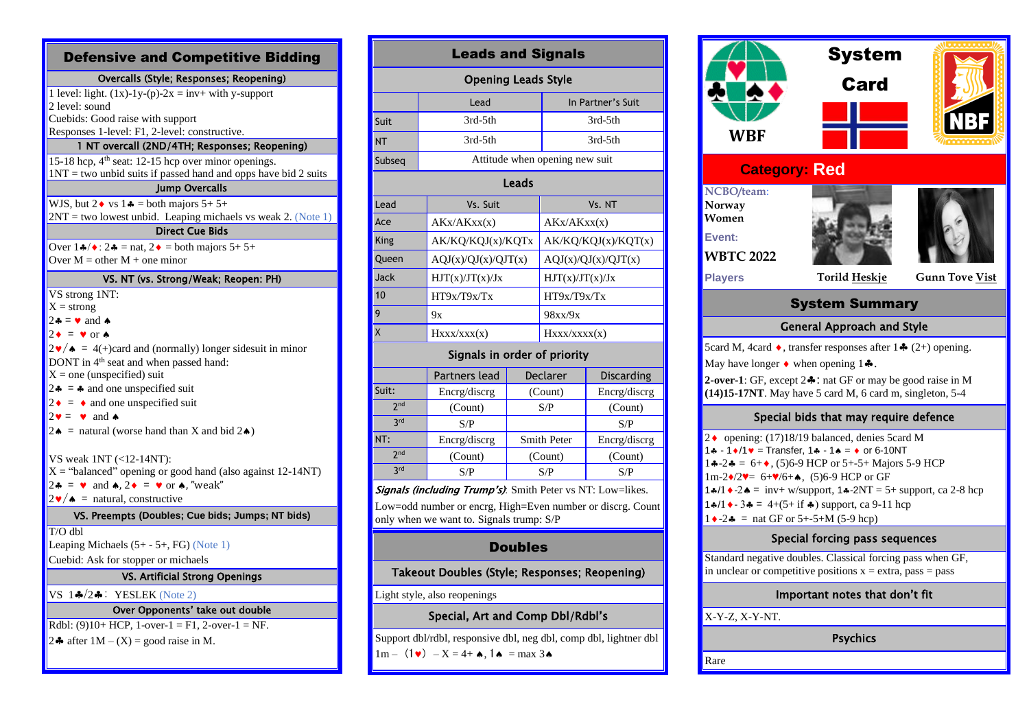| <b>Defensive and Competitive Bidding</b>                                                                                                                                                                                                                                                                                                                                                                                                                                                                                                                                                                                                                                                                                                                   |
|------------------------------------------------------------------------------------------------------------------------------------------------------------------------------------------------------------------------------------------------------------------------------------------------------------------------------------------------------------------------------------------------------------------------------------------------------------------------------------------------------------------------------------------------------------------------------------------------------------------------------------------------------------------------------------------------------------------------------------------------------------|
| Overcalls (Style; Responses; Reopening)                                                                                                                                                                                                                                                                                                                                                                                                                                                                                                                                                                                                                                                                                                                    |
| 1 level: light. $(1x)-1y-(p)-2x = inv + with y-support$<br>2 level: sound<br>Cuebids: Good raise with support<br>Responses 1-level: F1, 2-level: constructive.                                                                                                                                                                                                                                                                                                                                                                                                                                                                                                                                                                                             |
| 1 NT overcall (2ND/4TH; Responses; Reopening)                                                                                                                                                                                                                                                                                                                                                                                                                                                                                                                                                                                                                                                                                                              |
| 15-18 hcp, 4 <sup>th</sup> seat: 12-15 hcp over minor openings.<br>$1NT = two$ unbid suits if passed hand and opps have bid 2 suits                                                                                                                                                                                                                                                                                                                                                                                                                                                                                                                                                                                                                        |
| <b>Jump Overcalls</b>                                                                                                                                                                                                                                                                                                                                                                                                                                                                                                                                                                                                                                                                                                                                      |
| WJS, but $2 \cdot \sqrt{vs} 1 \cdot =$ both majors $5+5+$<br>$2NT$ = two lowest unbid. Leaping michaels vs weak 2. (Note 1)<br><b>Direct Cue Bids</b>                                                                                                                                                                                                                                                                                                                                                                                                                                                                                                                                                                                                      |
| Over $1 \cdot 2 \cdot 2 = \text{nat}, 2 \cdot 2 = \text{both majors } 5 + 5 +$<br>Over $M =$ other $M +$ one minor                                                                                                                                                                                                                                                                                                                                                                                                                                                                                                                                                                                                                                         |
| VS. NT (vs. Strong/Weak; Reopen: PH)                                                                                                                                                                                                                                                                                                                                                                                                                                                                                                                                                                                                                                                                                                                       |
| VS strong 1NT:<br>$X =$ strong<br>$2\clubsuit = \vee$ and $\spadesuit$<br>$2 \cdot = \cdot \text{ or } \cdot$<br>$2\mathbf{v}/\mathbf{A} = 4$ (+)card and (normally) longer sidesuit in minor<br>DONT in 4 <sup>th</sup> seat and when passed hand:<br>$X =$ one (unspecified) suit<br>$2 \cdot \bullet$ = $\bullet$ and one unspecified suit<br>$2 \cdot = \cdot$ and one unspecified suit<br>$2\mathbf{v} = \mathbf{v}$ and $\mathbf{A}$<br>$2 \cdot \bullet$ = natural (worse hand than X and bid $2 \cdot \bullet$ )<br>VS weak 1NT (<12-14NT):<br>$X =$ "balanced" opening or good hand (also against 12-14NT)<br>$2\bullet = \bullet$ and $\bullet$ , $2\bullet = \bullet$ or $\bullet$ , "weak"<br>$2\mathbf{v}/\mathbf{A}$ = natural, constructive |
| VS. Preempts (Doubles; Cue bids; Jumps; NT bids)                                                                                                                                                                                                                                                                                                                                                                                                                                                                                                                                                                                                                                                                                                           |
| $T/O$ dbl<br>Leaping Michaels $(5+ - 5+$ , FG) (Note 1)<br>Cuebid: Ask for stopper or michaels                                                                                                                                                                                                                                                                                                                                                                                                                                                                                                                                                                                                                                                             |
| <b>VS. Artificial Strong Openings</b>                                                                                                                                                                                                                                                                                                                                                                                                                                                                                                                                                                                                                                                                                                                      |
| VS $1\clubsuit/2\clubsuit$ : YESLEK (Note 2)                                                                                                                                                                                                                                                                                                                                                                                                                                                                                                                                                                                                                                                                                                               |
| Over Opponents' take out double                                                                                                                                                                                                                                                                                                                                                                                                                                                                                                                                                                                                                                                                                                                            |
| Rdbl: (9)10+ HCP, 1-over-1 = F1, 2-over-1 = NF.                                                                                                                                                                                                                                                                                                                                                                                                                                                                                                                                                                                                                                                                                                            |

|  | 24 after $1M - (X) =$ good raise in M. |  |
|--|----------------------------------------|--|

| <b>Leads and Signals</b>   |                                |                     |  |  |
|----------------------------|--------------------------------|---------------------|--|--|
| <b>Opening Leads Style</b> |                                |                     |  |  |
|                            | Lead                           | In Partner's Suit   |  |  |
| Suit                       | $3rd-5th$                      | 3rd-5th             |  |  |
| <b>NT</b>                  | $3rd-5th$                      | 3rd-5th             |  |  |
| Subseq                     | Attitude when opening new suit |                     |  |  |
| Leads                      |                                |                     |  |  |
| Lead                       | Vs. Suit                       | Vs. NT              |  |  |
| Ace                        | AKx/AKxx(x)                    | AKx/AKxx(x)         |  |  |
| King                       | AK/KQ/KQJ(x)/KQTx              | AK/KQ/KQJ(x)/KQT(x) |  |  |
| Queen                      | AQJ(x)/QJ(x)/QJT(x)            | AQJ(x)/QJ(x)/QJT(x) |  |  |
| Jack                       | HJT(x)/JT(x)/Jx                | HJT(x)/JT(x)/Jx     |  |  |
| 10                         | HT9x/T9x/Tx                    | HT9x/T9x/Tx         |  |  |
| 9                          | 9x                             | 98xx/9x             |  |  |
| X                          | $H$ xxx/xxx(x)                 | $H$ xxx/xxxx(x)     |  |  |

#### Signals in order of priority

|                 | Partners lead | Declarer           | <b>Discarding</b> |
|-----------------|---------------|--------------------|-------------------|
| Suit:           | Encrg/discrg  | (Count)            | Encrg/discrg      |
| 2 <sub>nd</sub> | (Count)       | S/P                | (Count)           |
| <b>3rd</b>      | S/P           |                    | S/P               |
| NT:             | Encrg/discrg  | <b>Smith Peter</b> | Encrg/discrg      |
| 2 <sub>nd</sub> | (Count)       | (Count)            | (Count)           |
| <b>3rd</b>      | S/P           | S/P                | S/P               |
|                 |               |                    |                   |

Signals (including Trump's): Smith Peter vs NT: Low=likes.

Low=odd number or encrg, High=Even number or discrg. Count only when we want to. Signals trump: S/P

# Doubles

Takeout Doubles (Style; Responses; Reopening)

### Light style, also reopenings

## Special, Art and Comp Dbl/Rdbl's

Support dbl/rdbl, responsive dbl, neg dbl, comp dbl, lightner dbl  $1m - (1\bullet) - X = 4 + \bullet, 1\bullet = \max 3\bullet$ 

|                                                                                                                                                                                                                                                                                                                                                                                                                                                                                             | System                                |                       |  |
|---------------------------------------------------------------------------------------------------------------------------------------------------------------------------------------------------------------------------------------------------------------------------------------------------------------------------------------------------------------------------------------------------------------------------------------------------------------------------------------------|---------------------------------------|-----------------------|--|
|                                                                                                                                                                                                                                                                                                                                                                                                                                                                                             | <b>Card</b>                           |                       |  |
|                                                                                                                                                                                                                                                                                                                                                                                                                                                                                             |                                       |                       |  |
| WBF                                                                                                                                                                                                                                                                                                                                                                                                                                                                                         |                                       |                       |  |
| <b>Category: Red</b>                                                                                                                                                                                                                                                                                                                                                                                                                                                                        |                                       |                       |  |
| NCBO/team:<br>Norway<br>Women<br>Event:<br><b>WBTC 2022</b>                                                                                                                                                                                                                                                                                                                                                                                                                                 |                                       |                       |  |
| <b>Players</b>                                                                                                                                                                                                                                                                                                                                                                                                                                                                              | <b>Torild Heskje</b>                  | <b>Gunn Tove Vist</b> |  |
|                                                                                                                                                                                                                                                                                                                                                                                                                                                                                             | <b>System Summary</b>                 |                       |  |
|                                                                                                                                                                                                                                                                                                                                                                                                                                                                                             | <b>General Approach and Style</b>     |                       |  |
| 5card M, 4card $\bullet$ , transfer responses after 1 $\clubsuit$ (2+) opening.<br>May have longer $\bullet$ when opening $1\clubsuit$ .<br>2-over-1: GF, except $2\clubsuit$ : nat GF or may be good raise in M<br>(14)15-17NT. May have 5 card M, 6 card m, singleton, 5-4                                                                                                                                                                                                                |                                       |                       |  |
|                                                                                                                                                                                                                                                                                                                                                                                                                                                                                             | Special bids that may require defence |                       |  |
| 2◆ opening: (17)18/19 balanced, denies 5card M<br>1.4 - 1 $\sqrt{1}$ v = Transfer, 1.4 - 1.4 = $\sqrt{10}$ or 6-10NT<br>$14-24 = 6+$ , (5)6-9 HCP or 5+-5+ Majors 5-9 HCP<br>$1m-2\frac{1}{2}\sqrt{2} = 6+\frac{1}{6} + \frac{1}{6}$ , (5)6-9 HCP or GF<br>1.4/1 $\bullet$ 2. $\bullet$ = inv+ w/support, 1.4 -2NT = 5+ support, ca 2-8 hcp<br>1.4/1 $\bullet$ - 3.4 = 4+(5+ if $\clubsuit$ ) support, ca 9-11 hcp<br>$1 \cdot -2 \cdot = \text{nat GF or } 5 + -5 + M (5 - 9 \text{ hep})$ |                                       |                       |  |
| Special forcing pass sequences                                                                                                                                                                                                                                                                                                                                                                                                                                                              |                                       |                       |  |
| Standard negative doubles. Classical forcing pass when GF,<br>in unclear or competitive positions $x = e$ xtra, pass = pass                                                                                                                                                                                                                                                                                                                                                                 |                                       |                       |  |

#### Important notes that don't fit

 $X-Y-Z$ ,  $X-Y-NT$ .

Psychics

Rare